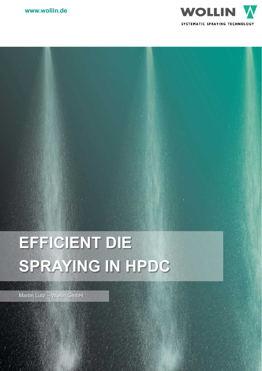



# **EFFICIENT DIE SPRAYING IN HPDC**

Martin Lutz – Wollin GmbH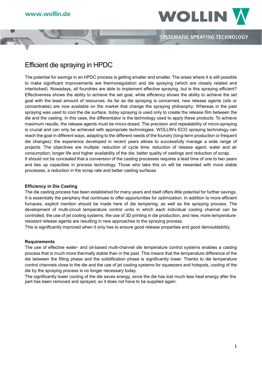

## Efficient die spraying in HPDC

The potential for savings in an HPDC process is getting smaller and smaller. The areas where it is still possible to make significant improvements are thermoregulation and die spraying (which are closely related and interlocked). Nowadays, all foundries are able to implement effective spraying, but is this spraying efficient? Effectiveness shows the ability to achieve the set goal, while efficiency shows the ability to achieve the set goal with the least amount of resources. As far as die spraying is concerned, new release agents (oils or concentrates) are now available on the market that change the spraying philosophy: Whereas in the past spraying was used to cool the die surface, today spraying is used only to create the release film between the die and the casting. In this case, the differentiator is the technology used to apply these products: To achieve maximum results, the release agents must be micro-dosed. The precision and repeatability of micro-spraying is crucial and can only be achieved with appropriate technologies. WOLLIN's ECO spraying technology can reach the goal in different ways, adapting to the different needs of the foundry (long-term production or frequent die changes): the experience developed in recent years allows to successfully manage a wide range of projects. The objectives are multiple: reduction of cycle time; reduction of release agent, water and air consumption; longer life and higher availability of the die; better quality of castings and reduction of scrap. It should not be concealed that a conversion of the casting processes requires a lead time of one to two years and ties up capacities in process technology. Those who take this on will be rewarded with more stable processes, a reduction in the scrap rate and better casting surfaces.

#### **Efficiency in Die Casting**

The die casting process has been established for many years and itself offers little potential for further savings. It is essentially the periphery that continues to offer opportunities for optimization. In addition to more efficient furnaces, explicit mention should be made here of die tempering, as well as the spraying process. The development of multi-circuit temperature control units in which each individual cooling channel can be controlled, the use of jet cooling systems, the use of 3D printing in die production, and new, more temperatureresistant release agents are resulting in new approaches to the spraying process.

This is significantly improved when it only has to ensure good release properties and good demouldability.

#### **Requirements**

The use of effective water- and oil-based multi-channel die temperature control systems enables a casting process that is much more thermally stable than in the past. This means that the temperature difference of the die between the filling phase and the solidification phase is significantly lower. Thanks to die temperature control channels close to the die and the use of jet cooling systems for squeezers and hotspots, cooling of the die by the spraying process is no longer necessary today.

The significantly lower cooling of the die saves energy, since the die has lost much less heat energy after the part has been removed and sprayed, so it does not have to be supplied again.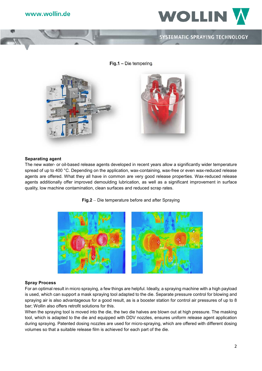

**Fig.1** – Die tempering



#### **Separating agent**

The new water- or oil-based release agents developed in recent years allow a significantly wider temperature spread of up to 400 °C. Depending on the application, wax-containing, wax-free or even wax-reduced release agents are offered. What they all have in common are very good release properties. Wax-reduced release agents additionally offer improved demoulding lubrication, as well as a significant improvement in surface quality, low machine contamination, clean surfaces and reduced scrap rates.





#### **Spray Process**

For an optimal result in micro spraying, a few things are helpful. Ideally, a spraying machine with a high payload is used, which can support a mask spraying tool adapted to the die. Separate pressure control for blowing and spraying air is also advantageous for a good result, as is a booster station for control air pressures of up to 8 bar; Wollin also offers retrofit solutions for this.

When the spraying tool is moved into the die, the two die halves are blown out at high pressure. The masking tool, which is adapted to the die and equipped with DDV nozzles, ensures uniform release agent application during spraying. Patented dosing nozzles are used for micro-spraying, which are offered with different dosing volumes so that a suitable release film is achieved for each part of the die.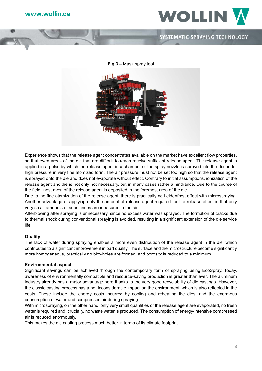

**Fig.3** – Mask spray tool



Experience shows that the release agent concentrates available on the market have excellent flow properties, so that even areas of the die that are difficult to reach receive sufficient release agent. The release agent is applied in a pulse by which the release agent in a chamber of the spray nozzle is sprayed into the die under high pressure in very fine atomized form. The air pressure must not be set too high so that the release agent is sprayed onto the die and does not evaporate without effect. Contrary to initial assumptions, ionization of the release agent and die is not only not necessary, but in many cases rather a hindrance. Due to the course of the field lines, most of the release agent is deposited in the foremost area of the die.

Due to the fine atomization of the release agent, there is practically no Leidenfrost effect with microspraying. Another advantage of applying only the amount of release agent required for the release effect is that only very small amounts of substances are measured in the air.

Afterblowing after spraying is unnecessary, since no excess water was sprayed. The formation of cracks due to thermal shock during conventional spraying is avoided, resulting in a significant extension of the die service life.

#### **Quality**

The lack of water during spraying enables a more even distribution of the release agent in the die, which contributes to a significant improvement in part quality. The surface and the microstructure become significantly more homogeneous, practically no blowholes are formed, and porosity is reduced to a minimum.

#### **Environmental aspect**

Significant savings can be achieved through the contemporary form of spraying using EcoSpray. Today, awareness of environmentally compatible and resource-saving production is greater than ever. The aluminum industry already has a major advantage here thanks to the very good recyclability of die castings. However, the classic casting process has a not inconsiderable impact on the environment, which is also reflected in the costs. These include the energy costs incurred by cooling and reheating the dies, and the enormous consumption of water and compressed air during spraying.

With microspraying, on the other hand, only very small quantities of the release agent are evaporated, no fresh water is required and, crucially, no waste water is produced. The consumption of energy-intensive compressed air is reduced enormously.

This makes the die casting process much better in terms of its climate footprint.